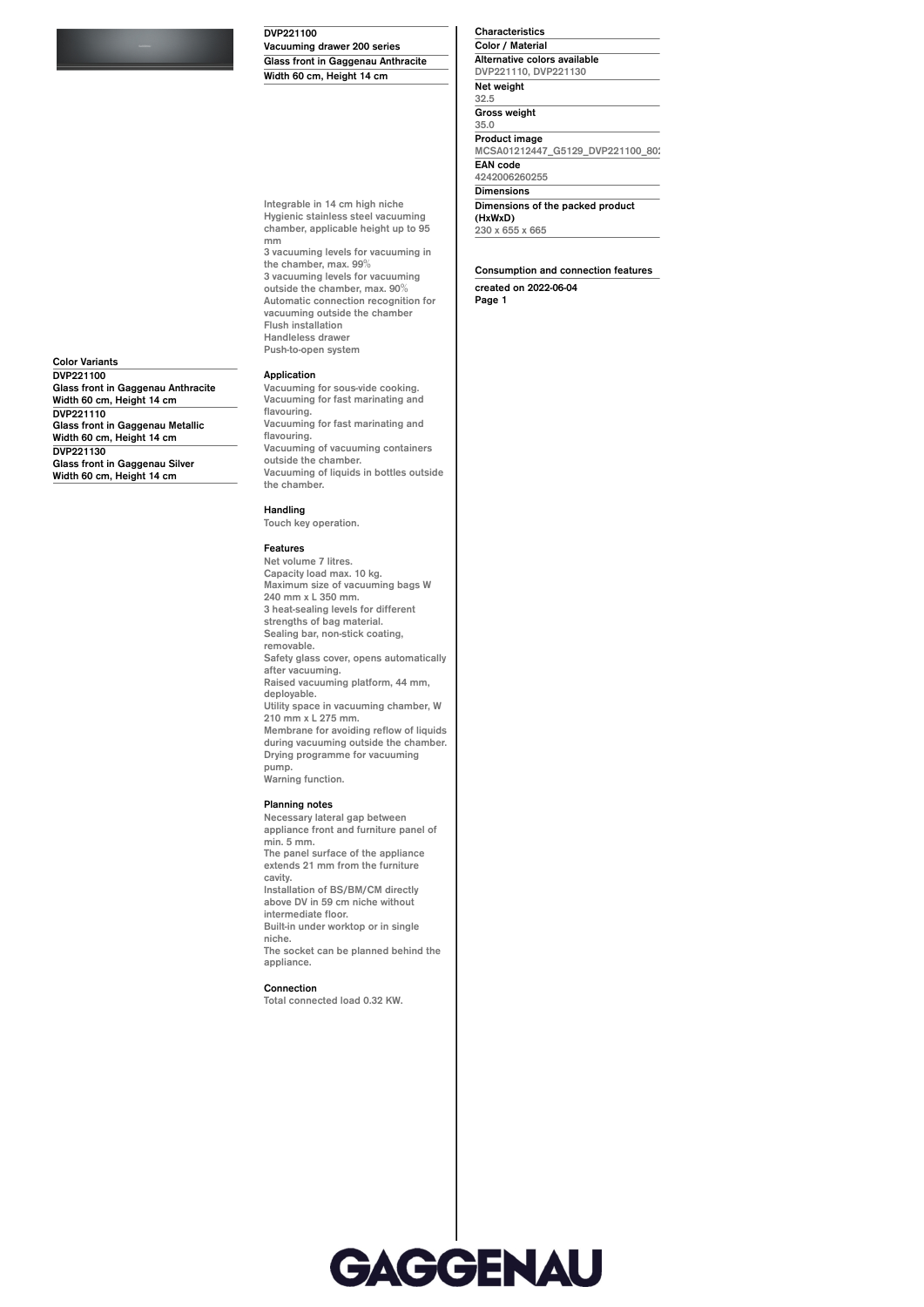**DVP221100**

**Vacuuming drawer 200 series Glass front in Gaggenau Anthracite Width 60 cm, Height 14 cm**

**Integrable in 14 cm high niche Hygienic stainless steel vacuuming chamber, applicable height up to 95**

**the chamber, max. 99% 3 vacuuming levels for vacuuming outside the chamber, max. 90% Automatic connection recognition for vacuuming outside the chamber**

**3 vacuuming levels for vacuuming in**

**Characteristics Color / Material Alternative colors available DVP221110, DVP221130 Net weight 32.5 Gross weight 35.0 Product image** MCSA01212447\_G5129\_DVP221100\_80 **EAN code 4242006260255 Dimensions Dimensions of the packed product (HxWxD) 230 x 655 x 665**

**Consumption and connection features created on 2022-06-04 Page 1**

**Color Variants DVP221100 Glass front in Gaggenau Anthracite Width 60 cm, Height 14 cm DVP221110 Glass front in Gaggenau Metallic Width 60 cm, Height 14 cm DVP221130 Glass front in Gaggenau Silver Width 60 cm, Height 14 cm**

## **Application Vacuuming for sous-vide cooking.**

**Flush installation Handleless drawer Push-to-open system**

**mm**

**Vacuuming for fast marinating and flavouring. Vacuuming for fast marinating and flavouring. Vacuuming of vacuuming containers outside the chamber. Vacuuming of liquids in bottles outside the chamber.**

## **Handling**

**Touch key operation.**

## **Features**

**Net volume 7 litres. Capacity load max. 10 kg. Maximum size of vacuuming bags W 240 mm x L 350 mm. 3 heat-sealing levels for different strengths of bag material. Sealing bar, non-stick coating, removable. Safety glass cover, opens automatically after vacuuming. Raised vacuuming platform, 44 mm, deployable. Utility space in vacuuming chamber, W 210 mm x L 275 mm. Membrane for avoiding reflow of liquids during vacuuming outside the chamber. Drying programme for vacuuming pump. Warning function.**

## **Planning notes**

**Necessary lateral gap between appliance front and furniture panel of min. 5 mm. The panel surface of the appliance extends 21 mm from the furniture cavity. Installation of BS/BM/CM directly above DV in 59 cm niche without intermediate floor. Built-in under worktop or in single niche. The socket can be planned behind the appliance. Connection Total connected load 0.32 KW.**